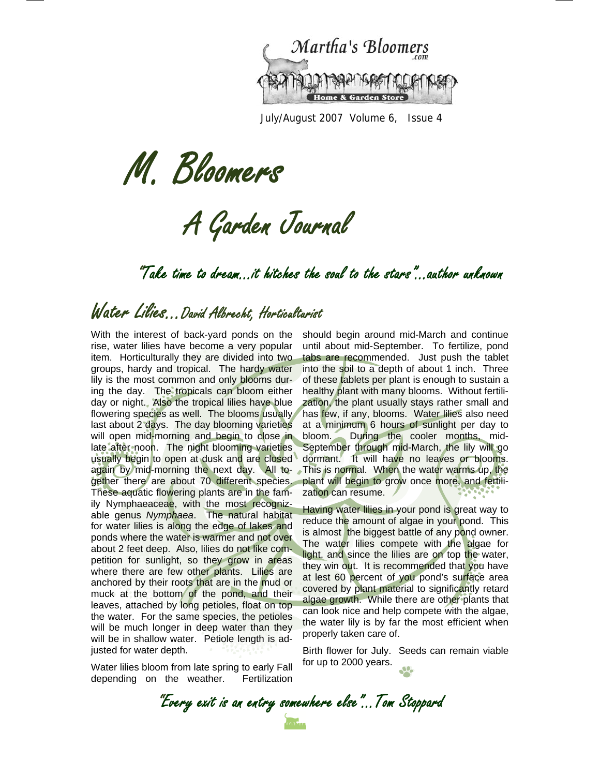

July/August 2007 Volume 6, Issue 4

M. Bloomers

A Garden Journal

"Take time to dream…it hitches the soul to the stars"...author unknown

# Water Lilies...David Albrecht, Horticulturist

With the interest of back-yard ponds on the rise, water lilies have become a very popular item. Horticulturally they are divided into two groups, hardy and tropical. The hardy water lily is the most common and only blooms during the day. The tropicals can bloom either day or night. Also the tropical lilies have blue flowering species as well. The blooms usually last about 2 days. The day blooming varieties will open mid-morning and begin to close in late after noon. The night blooming varieties usually begin to open at dusk and are closed again by mid-morning the next day. All together there are about 70 different species. These aquatic flowering plants are in the family Nymphaeaceae, with the most recognizable genus *Nymphaea*. The natural habitat for water lilies is along the edge of lakes and ponds where the water is warmer and not over about 2 feet deep. Also, lilies do not like competition for sunlight, so they grow in areas where there are few other plants. Lilies are anchored by their roots that are in the mud or muck at the bottom of the pond, and their leaves, attached by long petioles, float on top the water. For the same species, the petioles will be much longer in deep water than they will be in shallow water. Petiole length is adjusted for water depth.

Water lilies bloom from late spring to early Fall depending on the weather. Fertilization

should begin around mid-March and continue until about mid-September. To fertilize, pond tabs are recommended. Just push the tablet into the soil to a depth of about 1 inch. Three of these tablets per plant is enough to sustain a healthy plant with many blooms. Without fertilization, the plant usually stays rather small and has few, if any, blooms. Water lilies also need at a minimum 6 hours of sunlight per day to bloom. During the cooler months, mid-September through mid-March, the lily will go dormant. It will have no leaves or blooms. This is normal. When the water warms up, the plant will begin to grow once more, and fertilization can resume.

Having water lilies in your pond is great way to reduce the amount of algae in your pond. This is almost the biggest battle of any pond owner. The water lilies compete with the algae for light, and since the lilies are on top the water, they win out. It is recommended that you have at lest 60 percent of you pond's surface area covered by plant material to significantly retard algae growth. While there are other plants that can look nice and help compete with the algae, the water lily is by far the most efficient when properly taken care of.

Birth flower for July. Seeds can remain viable for up to 2000 years.

"Every exit is an entry somewhere else"...Tom Stoppard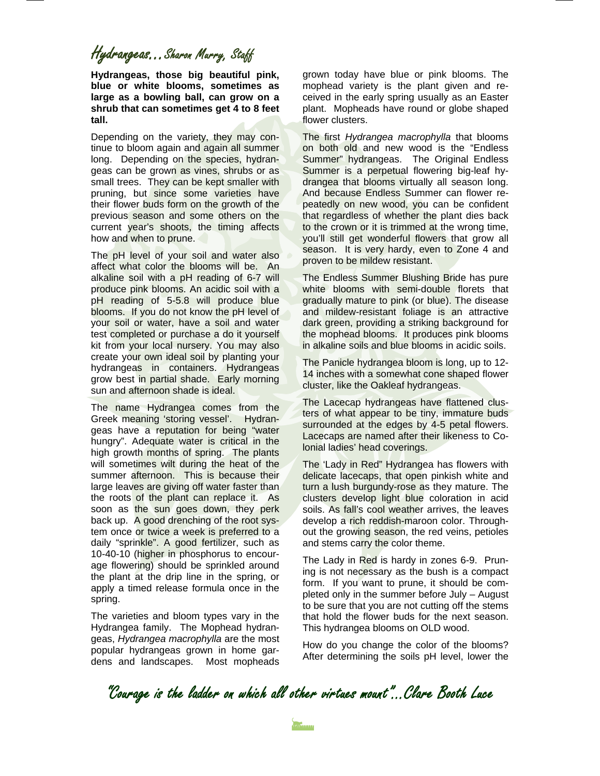### Hydrangeas...Sharon Murry, Staff

**Hydrangeas, those big beautiful pink, blue or white blooms, sometimes as large as a bowling ball, can grow on a shrub that can sometimes get 4 to 8 feet tall.**

Depending on the variety, they may continue to bloom again and again all summer long. Depending on the species, hydrangeas can be grown as vines, shrubs or as small trees. They can be kept smaller with pruning, but since some varieties have their flower buds form on the growth of the previous season and some others on the current year's shoots, the timing affects how and when to prune.

The pH level of your soil and water also affect what color the blooms will be. An alkaline soil with a pH reading of 6-7 will produce pink blooms. An acidic soil with a pH reading of 5-5.8 will produce blue blooms. If you do not know the pH level of your soil or water, have a soil and water test completed or purchase a do it yourself kit from your local nursery. You may also create your own ideal soil by planting your hydrangeas in containers. Hydrangeas grow best in partial shade. Early morning sun and afternoon shade is ideal.

The name Hydrangea comes from the Greek meaning 'storing vessel'. Hydrangeas have a reputation for being "water hungry". Adequate water is critical in the high growth months of spring. The plants will sometimes wilt during the heat of the summer afternoon. This is because their large leaves are giving off water faster than the roots of the plant can replace it. As soon as the sun goes down, they perk back up. A good drenching of the root system once or twice a week is preferred to a daily "sprinkle". A good fertilizer, such as 10-40-10 (higher in phosphorus to encourage flowering) should be sprinkled around the plant at the drip line in the spring, or apply a timed release formula once in the spring.

The varieties and bloom types vary in the Hydrangea family. The Mophead hydrangeas, *Hydrangea macrophylla* are the most popular hydrangeas grown in home gardens and landscapes. Most mopheads

grown today have blue or pink blooms. The mophead variety is the plant given and received in the early spring usually as an Easter plant. Mopheads have round or globe shaped flower clusters.

The first *Hydrangea macrophylla* that blooms on both old and new wood is the "Endless Summer" hydrangeas. The Original Endless Summer is a perpetual flowering big-leaf hydrangea that blooms virtually all season long. And because Endless Summer can flower repeatedly on new wood, you can be confident that regardless of whether the plant dies back to the crown or it is trimmed at the wrong time, you'll still get wonderful flowers that grow all season. It is very hardy, even to Zone 4 and proven to be mildew resistant.

The Endless Summer Blushing Bride has pure white blooms with semi-double florets that gradually mature to pink (or blue). The disease and mildew-resistant foliage is an attractive dark green, providing a striking background for the mophead blooms. It produces pink blooms in alkaline soils and blue blooms in acidic soils.

The Panicle hydrangea bloom is long, up to 12- 14 inches with a somewhat cone shaped flower cluster, like the Oakleaf hydrangeas.

The Lacecap hydrangeas have flattened clusters of what appear to be tiny, immature buds surrounded at the edges by 4-5 petal flowers. Lacecaps are named after their likeness to Colonial ladies' head coverings.

The 'Lady in Red" Hydrangea has flowers with delicate lacecaps, that open pinkish white and turn a lush burgundy-rose as they mature. The clusters develop light blue coloration in acid soils. As fall's cool weather arrives, the leaves develop a rich reddish-maroon color. Throughout the growing season, the red veins, petioles and stems carry the color theme.

The Lady in Red is hardy in zones 6-9. Pruning is not necessary as the bush is a compact form. If you want to prune, it should be completed only in the summer before July – August to be sure that you are not cutting off the stems that hold the flower buds for the next season. This hydrangea blooms on OLD wood.

How do you change the color of the blooms? After determining the soils pH level, lower the

"Courage is the ladder on which all other virtues mount"...Clare Booth Luce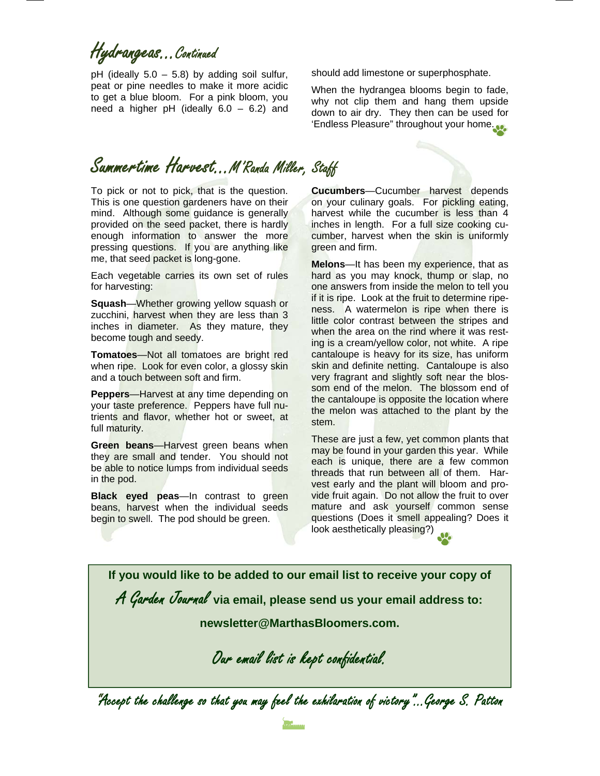Hydrangeas...Continued

pH (ideally  $5.0 - 5.8$ ) by adding soil sulfur, peat or pine needles to make it more acidic to get a blue bloom. For a pink bloom, you need a higher pH (ideally  $6.0 - 6.2$ ) and

# Summertime Harvest…M'Randa Miller, Staff

To pick or not to pick, that is the question. This is one question gardeners have on their mind. Although some guidance is generally provided on the seed packet, there is hardly enough information to answer the more pressing questions. If you are anything like me, that seed packet is long-gone.

Each vegetable carries its own set of rules for harvesting:

**Squash**—Whether growing yellow squash or zucchini, harvest when they are less than 3 inches in diameter. As they mature, they become tough and seedy.

**Tomatoes**—Not all tomatoes are bright red when ripe. Look for even color, a glossy skin and a touch between soft and firm.

**Peppers**—Harvest at any time depending on your taste preference. Peppers have full nutrients and flavor, whether hot or sweet, at full maturity.

**Green beans**—Harvest green beans when they are small and tender. You should not be able to notice lumps from individual seeds in the pod.

**Black eyed peas**—In contrast to green beans, harvest when the individual seeds begin to swell. The pod should be green.

should add limestone or superphosphate.

When the hydrangea blooms begin to fade, why not clip them and hang them upside down to air dry. They then can be used for 'Endless Pleasure" throughout your home.

**Cucumbers**—Cucumber harvest depends on your culinary goals. For pickling eating, harvest while the cucumber is less than 4 inches in length. For a full size cooking cucumber, harvest when the skin is uniformly green and firm.

**Melons**—It has been my experience, that as hard as you may knock, thump or slap, no one answers from inside the melon to tell you if it is ripe. Look at the fruit to determine ripeness. A watermelon is ripe when there is little color contrast between the stripes and when the area on the rind where it was resting is a cream/yellow color, not white. A ripe cantaloupe is heavy for its size, has uniform skin and definite netting. Cantaloupe is also very fragrant and slightly soft near the blossom end of the melon. The blossom end of the cantaloupe is opposite the location where the melon was attached to the plant by the stem.

These are just a few, yet common plants that may be found in your garden this year. While each is unique, there are a few common threads that run between all of them. Harvest early and the plant will bloom and provide fruit again. Do not allow the fruit to over mature and ask yourself common sense questions (Does it smell appealing? Does it look aesthetically pleasing?)

**If you would like to be added to our email list to receive your copy of** 

A Garden Journal **via email, please send us your email address to:** 

**newsletter@MarthasBloomers.com.** 

Our email list is kept confidential.

"Accept the challenge so that you may feel the exhilaration of victory"...George S. Patton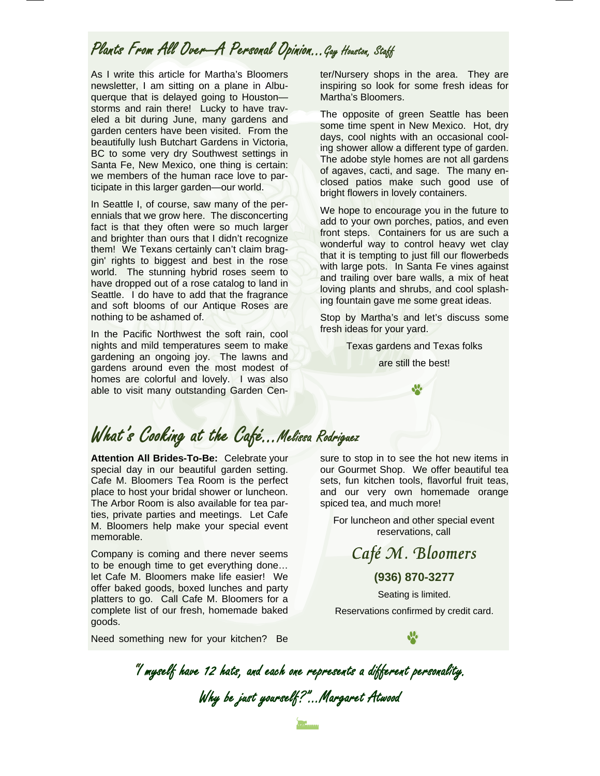### Plants From All Over-A Personal Opinion...Gay Houston, Staff

As I write this article for Martha's Bloomers newsletter, I am sitting on a plane in Albuquerque that is delayed going to Houston storms and rain there! Lucky to have traveled a bit during June, many gardens and garden centers have been visited. From the beautifully lush Butchart Gardens in Victoria, BC to some very dry Southwest settings in Santa Fe, New Mexico, one thing is certain: we members of the human race love to participate in this larger garden—our world.

In Seattle I, of course, saw many of the perennials that we grow here. The disconcerting fact is that they often were so much larger and brighter than ours that I didn't recognize them! We Texans certainly can't claim braggin' rights to biggest and best in the rose world. The stunning hybrid roses seem to have dropped out of a rose catalog to land in Seattle. I do have to add that the fragrance and soft blooms of our Antique Roses are nothing to be ashamed of.

In the Pacific Northwest the soft rain, cool nights and mild temperatures seem to make gardening an ongoing joy. The lawns and gardens around even the most modest of homes are colorful and lovely. I was also able to visit many outstanding Garden Center/Nursery shops in the area. They are inspiring so look for some fresh ideas for Martha's Bloomers.

The opposite of green Seattle has been some time spent in New Mexico. Hot, dry days, cool nights with an occasional cooling shower allow a different type of garden. The adobe style homes are not all gardens of agaves, cacti, and sage. The many enclosed patios make such good use of bright flowers in lovely containers.

We hope to encourage you in the future to add to your own porches, patios, and even front steps. Containers for us are such a wonderful way to control heavy wet clay that it is tempting to just fill our flowerbeds with large pots. In Santa Fe vines against and trailing over bare walls, a mix of heat loving plants and shrubs, and cool splashing fountain gave me some great ideas.

Stop by Martha's and let's discuss some fresh ideas for your yard.

Texas gardens and Texas folks

are still the best!

# What's Cooking at the Café…Melissa Rodriguez

**Attention All Brides-To-Be:** Celebrate your special day in our beautiful garden setting. Cafe M. Bloomers Tea Room is the perfect place to host your bridal shower or luncheon. The Arbor Room is also available for tea parties, private parties and meetings. Let Cafe M. Bloomers help make your special event memorable.

Company is coming and there never seems to be enough time to get everything done… let Cafe M. Bloomers make life easier! We offer baked goods, boxed lunches and party platters to go. Call Cafe M. Bloomers for a complete list of our fresh, homemade baked goods.

Need something new for your kitchen? Be

sure to stop in to see the hot new items in our Gourmet Shop. We offer beautiful tea sets, fun kitchen tools, flavorful fruit teas, and our very own homemade orange spiced tea, and much more!

For luncheon and other special event reservations, call

Café M. Bloomers

**(936) 870-3277** 

Seating is limited. Reservations confirmed by credit card.

"I myself have 12 hats, and each one represents a different personality. Why be just yourself?"...Margaret Atwood